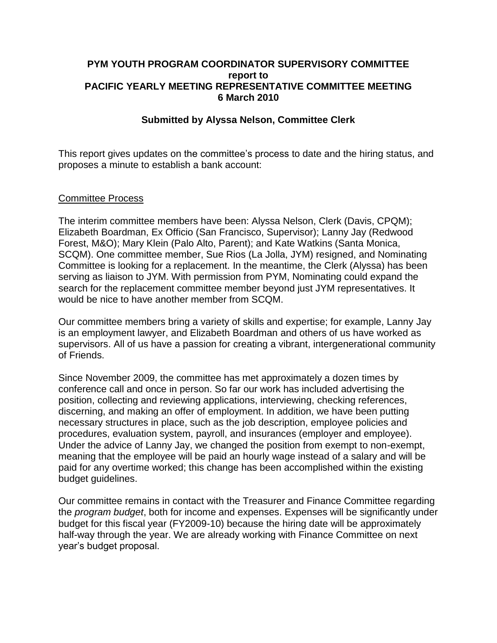### **PYM YOUTH PROGRAM COORDINATOR SUPERVISORY COMMITTEE report to PACIFIC YEARLY MEETING REPRESENTATIVE COMMITTEE MEETING 6 March 2010**

## **Submitted by Alyssa Nelson, Committee Clerk**

This report gives updates on the committee's process to date and the hiring status, and proposes a minute to establish a bank account:

#### Committee Process

The interim committee members have been: Alyssa Nelson, Clerk (Davis, CPQM); Elizabeth Boardman, Ex Officio (San Francisco, Supervisor); Lanny Jay (Redwood Forest, M&O); Mary Klein (Palo Alto, Parent); and Kate Watkins (Santa Monica, SCQM). One committee member, Sue Rios (La Jolla, JYM) resigned, and Nominating Committee is looking for a replacement. In the meantime, the Clerk (Alyssa) has been serving as liaison to JYM. With permission from PYM, Nominating could expand the search for the replacement committee member beyond just JYM representatives. It would be nice to have another member from SCQM.

Our committee members bring a variety of skills and expertise; for example, Lanny Jay is an employment lawyer, and Elizabeth Boardman and others of us have worked as supervisors. All of us have a passion for creating a vibrant, intergenerational community of Friends.

Since November 2009, the committee has met approximately a dozen times by conference call and once in person. So far our work has included advertising the position, collecting and reviewing applications, interviewing, checking references, discerning, and making an offer of employment. In addition, we have been putting necessary structures in place, such as the job description, employee policies and procedures, evaluation system, payroll, and insurances (employer and employee). Under the advice of Lanny Jay, we changed the position from exempt to non-exempt, meaning that the employee will be paid an hourly wage instead of a salary and will be paid for any overtime worked; this change has been accomplished within the existing budget guidelines.

Our committee remains in contact with the Treasurer and Finance Committee regarding the *program budget*, both for income and expenses. Expenses will be significantly under budget for this fiscal year (FY2009-10) because the hiring date will be approximately half-way through the year. We are already working with Finance Committee on next year's budget proposal.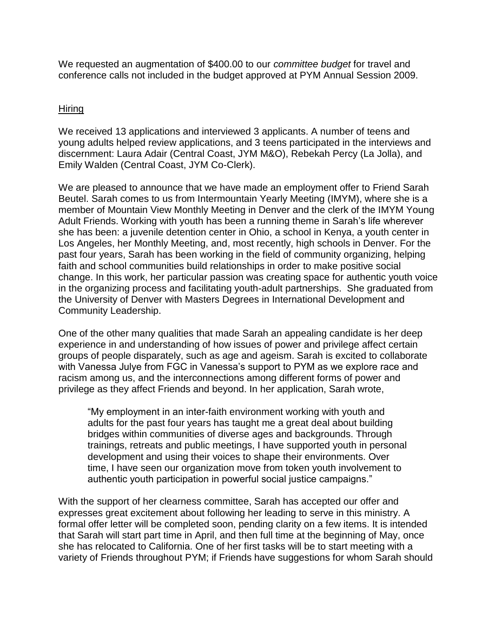We requested an augmentation of \$400.00 to our *committee budget* for travel and conference calls not included in the budget approved at PYM Annual Session 2009.

# Hiring

We received 13 applications and interviewed 3 applicants. A number of teens and young adults helped review applications, and 3 teens participated in the interviews and discernment: Laura Adair (Central Coast, JYM M&O), Rebekah Percy (La Jolla), and Emily Walden (Central Coast, JYM Co-Clerk).

We are pleased to announce that we have made an employment offer to Friend Sarah Beutel. Sarah comes to us from Intermountain Yearly Meeting (IMYM), where she is a member of Mountain View Monthly Meeting in Denver and the clerk of the IMYM Young Adult Friends. Working with youth has been a running theme in Sarah's life wherever she has been: a juvenile detention center in Ohio, a school in Kenya, a youth center in Los Angeles, her Monthly Meeting, and, most recently, high schools in Denver. For the past four years, Sarah has been working in the field of community organizing, helping faith and school communities build relationships in order to make positive social change. In this work, her particular passion was creating space for authentic youth voice in the organizing process and facilitating youth-adult partnerships. She graduated from the University of Denver with Masters Degrees in International Development and Community Leadership.

One of the other many qualities that made Sarah an appealing candidate is her deep experience in and understanding of how issues of power and privilege affect certain groups of people disparately, such as age and ageism. Sarah is excited to collaborate with Vanessa Julye from FGC in Vanessa's support to PYM as we explore race and racism among us, and the interconnections among different forms of power and privilege as they affect Friends and beyond. In her application, Sarah wrote,

"My employment in an inter-faith environment working with youth and adults for the past four years has taught me a great deal about building bridges within communities of diverse ages and backgrounds. Through trainings, retreats and public meetings, I have supported youth in personal development and using their voices to shape their environments. Over time, I have seen our organization move from token youth involvement to authentic youth participation in powerful social justice campaigns."

With the support of her clearness committee, Sarah has accepted our offer and expresses great excitement about following her leading to serve in this ministry. A formal offer letter will be completed soon, pending clarity on a few items. It is intended that Sarah will start part time in April, and then full time at the beginning of May, once she has relocated to California. One of her first tasks will be to start meeting with a variety of Friends throughout PYM; if Friends have suggestions for whom Sarah should